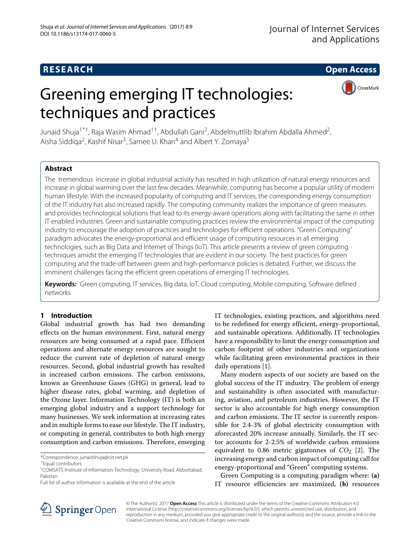# **RESEARCH Open Access**

# Greening emerging IT technologies: techniques and practices



Junaid Shuja<sup>1\*†</sup>, Raja Wasim Ahmad<sup>1†</sup>, Abdullah Gani<sup>2</sup>, Abdelmuttlib Ibrahim Abdalla Ahmed<sup>2</sup>, Aisha Siddiga<sup>2</sup>, Kashif Nisar<sup>3</sup>, Samee U. Khan<sup>4</sup> and Albert Y. Zomaya<sup>5</sup>

# **Abstract**

The tremendous increase in global industrial activity has resulted in high utilization of natural energy resources and increase in global warming over the last few decades. Meanwhile, computing has become a popular utility of modern human lifestyle. With the increased popularity of computing and IT services, the corresponding energy consumption of the IT industry has also increased rapidly. The computing community realizes the importance of green measures and provides technological solutions that lead to its energy-aware operations along with facilitating the same in other IT enabled industries. Green and sustainable computing practices review the environmental impact of the computing industry to encourage the adoption of practices and technologies for efficient operations. "Green Computing" paradigm advocates the energy-proportional and efficient usage of computing resources in all emerging technologies, such as Big Data and Internet of Things (IoT). This article presents a review of green computing techniques amidst the emerging IT technologies that are evident in our society. The best practices for green computing and the trade-off between green and high-performance policies is debated. Further, we discuss the imminent challenges facing the efficient green operations of emerging IT technologies.

**Keywords:** Green computing, IT services, Big data, IoT, Cloud computing, Mobile computing, Software defined networks

# **1 Introduction**

Global industrial growth has had two demanding effects on the human environment. First, natural energy resources are being consumed at a rapid pace. Efficient operations and alternate energy resources are sought to reduce the current rate of depletion of natural energy resources. Second, global industrial growth has resulted in increased carbon emissions. The carbon emissions, known as Greenhouse Gases (GHG) in general, lead to higher disease rates, global warming, and depletion of the Ozone layer. Information Technology (IT) is both an emerging global industry and a support technology for many businesses. We seek information at increasing rates and in multiple forms to ease our lifestyle. The IT industry, or computing in general, contributes to both high energy consumption and carbon emissions. Therefore, emerging

\*Correspondence: [junaidshuja@ciit.net.pk](mailto: junaidshuja@ciit.net.pk)

†Equal contributors

IT technologies, existing practices, and algorithms need to be redefined for energy efficient, energy-proportional, and sustainable operations. Additionally, IT technologies have a responsibility to limit the energy consumption and carbon footprint of other industries and organizations while facilitating green environmental practices in their daily operations [\[1\]](#page-9-0).

Many modern aspects of our society are based on the global success of the IT industry. The problem of energy and sustainability is often associated with manufacturing, aviation, and petroleum industries. However, the IT sector is also accountable for high energy consumption and carbon emissions. The IT sector is currently responsible for 2.4-3% of global electricity consumption with aforecasted 20% increase annually. Similarly, the IT sector accounts for 2-2.5% of worldwide carbon emissions equivalent to 0.86 metric gigatonnes of *CO*<sub>2</sub> [\[2\]](#page-9-1). The increasing energy and carbon impact of computing call for energy-proportional and "Green" computing systems.

Green Computing is a computing paradigm where: **(a)** IT resource efficiencies are maximized, **(b)** resources



© The Author(s). 2017 **Open Access** This article is distributed under the terms of the Creative Commons Attribution 4.0 International License [\(http://creativecommons.org/licenses/by/4.0/\)](http://creativecommons.org/licenses/by/4.0/), which permits unrestricted use, distribution, and reproduction in any medium, provided you give appropriate credit to the original author(s) and the source, provide a link to the Creative Commons license, and indicate if changes were made.

<sup>1</sup>COMSATS Institute of Information Technology, University Road, Abbottabad, Pakistan

Full list of author information is available at the end of the article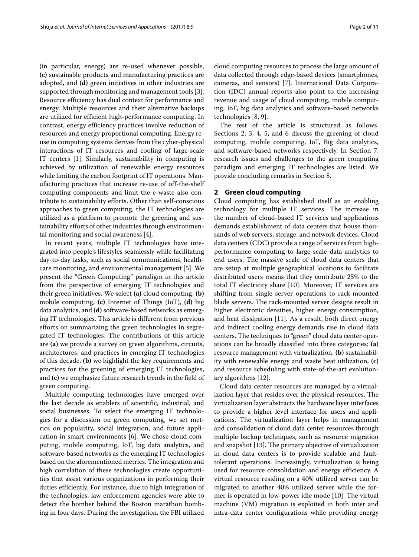(in particular, energy) are re-used whenever possible, **(c)** sustainable products and manufacturing practices are adopted, and **(d)** green initiatives in other industries are supported through monitoring and management tools [\[3\]](#page-9-2). Resource efficiency has dual context for performance and energy. Multiple resources and their alternative backups are utilized for efficient high-performance computing. In contrast, energy efficiency practices involve reduction of resources and energy proportional computing. Energy reuse in computing systems derives from the cyber-physical interactions of IT resources and cooling of large-scale IT centers [\[1\]](#page-9-0). Similarly, sustainability in computing is achieved by utilization of renewable energy resources while limiting the carbon footprint of IT operations. Manufacturing practices that increase re-use of off-the-shelf computing components and limit the e-waste also contribute to sustainability efforts. Other than self-conscious approaches to green computing, the IT technologies are utilized as a platform to promote the greening and sustainability efforts of other industries through environmental monitoring and social awareness [\[4\]](#page-9-3).

In recent years, multiple IT technologies have integrated into people's lifestyles seamlessly while facilitating day-to-day tasks, such as social communications, healthcare monitoring, and environmental management [\[5\]](#page-9-4). We present the "Green Computing" paradigm in this article from the perspective of emerging IT technologies and their green initiatives. We select **(a)** cloud computing, **(b)** mobile computing, **(c)** Internet of Things (IoT), **(d)** big data analytics, and **(d)** software-based networks as emerging IT technologies. This article is different from previous efforts on summarizing the green technologies in segregated IT technologies. The contributions of this article are **(a)** we provide a survey on green algorithms, circuits, architectures, and practices in emerging IT technologies of this decade, **(b)** we highlight the key requirements and practices for the greening of emerging IT technologies, and **(c)** we emphasize future research trends in the field of green computing.

Multiple computing technologies have emerged over the last decade as enablers of scientific, industrial, and social businesses. To select the emerging IT technologies for a discussion on green computing, we set metrics on popularity, social integration, and future application in smart environments [\[6\]](#page-9-5). We chose cloud computing, mobile computing, IoT, big data analytics, and software-based networks as the emerging IT technologies based on the aforementioned metrics. The integration and high correlation of these technologies create opportunities that assist various organizations in performing their duties efficiently. For instance, due to high integration of the technologies, law enforcement agencies were able to detect the bomber behind the Boston marathon bombing in four days. During the investigation, the FBI utilized

cloud computing resources to process the large amount of data collected through edge-based devices (smartphones, cameras, and sensors) [\[7\]](#page-9-6). International Data Corporation (IDC) annual reports also point to the increasing revenue and usage of cloud computing, mobile computing, IoT, big data analytics and software-based networks technologies [\[8,](#page-9-7) [9\]](#page-9-8).

The rest of the article is structured as follows. Sections [2,](#page-1-0) [3,](#page-2-0) [4,](#page-4-0) [5,](#page-5-0) and [6](#page-6-0) discuss the greening of cloud computing, mobile computing, IoT, Big data analytics, and software-based networks respectively. In Section [7,](#page-7-0) research issues and challenges to the green computing paradigm and emerging IT technologies are listed. We provide concluding remarks in Section [8.](#page-8-0)

# <span id="page-1-0"></span>**2 Green cloud computing**

Cloud computing has established itself as an enabling technology for multiple IT services. The increase in the number of cloud-based IT services and applications demands establishment of data centers that house thousands of web servers, storage, and network devices. Cloud data centers (CDC) provide a range of services from highperformance computing to large-scale data analytics to end users. The massive scale of cloud data centers that are setup at multiple geographical locations to facilitate distributed users means that they contribute 25% to the total IT electricity share [\[10\]](#page-9-9). Moreover, IT services are shifting from single server operations to rack-mounted blade servers. The rack-mounted server designs result in higher electronic densities, higher energy consumption, and heat dissipation [\[11\]](#page-9-10). As a result, both direct energy and indirect cooling energy demands rise in cloud data centers. The techniques to "green" cloud data center operations can be broadly classified into three categories: **(a)** resource management with virtualization, **(b)** sustainability with renewable energy and waste heat utilization, **(c)** and resource scheduling with state-of-the-art evolutionary algorithms [\[12\]](#page-9-11).

Cloud data center resources are managed by a virtualization layer that resides over the physical resources. The virtualization layer abstracts the hardware layer interfaces to provide a higher level interface for users and applications. The virtualization layer helps in management and consolidation of cloud data center resources through multiple backup techniques, such as resource migration and snapshot [\[13\]](#page-9-12). The primary objective of virtualization in cloud data centers is to provide scalable and faulttolerant operations. Increasingly, virtualization is being used for resource consolidation and energy efficiency. A virtual resource residing on a 40% utilized server can be migrated to another 40% utilized server while the former is operated in low-power idle mode [\[10\]](#page-9-9). The virtual machine (VM) migration is exploited in both inter and intra-data center configurations while providing energy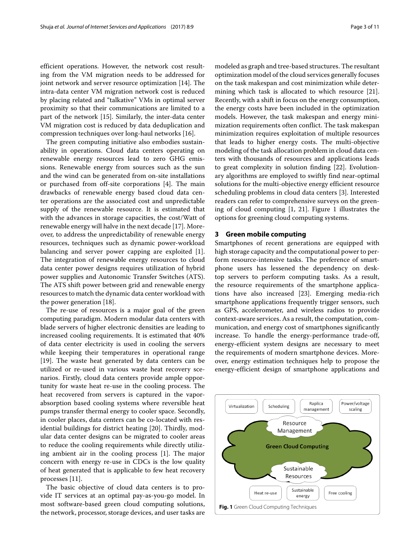efficient operations. However, the network cost resulting from the VM migration needs to be addressed for joint network and server resource optimization [\[14\]](#page-9-13). The intra-data center VM migration network cost is reduced by placing related and "talkative" VMs in optimal server proximity so that their communications are limited to a part of the network [\[15\]](#page-9-14). Similarly, the inter-data center VM migration cost is reduced by data deduplication and compression techniques over long-haul networks [\[16\]](#page-9-15).

The green computing initiative also embodies sustainability in operations. Cloud data centers operating on renewable energy resources lead to zero GHG emissions. Renewable energy from sources such as the sun and the wind can be generated from on-site installations or purchased from off-site corporations [\[4\]](#page-9-3). The main drawbacks of renewable energy based cloud data center operations are the associated cost and unpredictable supply of the renewable resource. It is estimated that with the advances in storage capacities, the cost/Watt of renewable energy will halve in the next decade [\[17\]](#page-9-16). Moreover, to address the unpredictability of renewable energy resources, techniques such as dynamic power-workload balancing and server power capping are exploited [\[1\]](#page-9-0). The integration of renewable energy resources to cloud data center power designs requires utilization of hybrid power supplies and Autonomic Transfer Switches (ATS). The ATS shift power between grid and renewable energy resources to match the dynamic data center workload with the power generation [\[18\]](#page-9-17).

The re-use of resources is a major goal of the green computing paradigm. Modern modular data centers with blade servers of higher electronic densities are leading to increased cooling requirements. It is estimated that 40% of data center electricity is used in cooling the servers while keeping their temperatures in operational range [\[19\]](#page-9-18). The waste heat generated by data centers can be utilized or re-used in various waste heat recovery scenarios. Firstly, cloud data centers provide ample opportunity for waste heat re-use in the cooling process. The heat recovered from servers is captured in the vaporabsorption based cooling systems where reversible heat pumps transfer thermal energy to cooler space. Secondly, in cooler places, data centers can be co-located with residential buildings for district heating [\[20\]](#page-9-19). Thirdly, modular data center designs can be migrated to cooler areas to reduce the cooling requirements while directly utilizing ambient air in the cooling process [\[1\]](#page-9-0). The major concern with energy re-use in CDCs is the low quality of heat generated that is applicable to few heat recovery processes [\[11\]](#page-9-10).

The basic objective of cloud data centers is to provide IT services at an optimal pay-as-you-go model. In most software-based green cloud computing solutions, the network, processor, storage devices, and user tasks are

modeled as graph and tree-based structures. The resultant optimization model of the cloud services generally focuses on the task makespan and cost minimization while determining which task is allocated to which resource [\[21\]](#page-9-20). Recently, with a shift in focus on the energy consumption, the energy costs have been included in the optimization models. However, the task makespan and energy minimization requirements often conflict. The task makespan minimization requires exploitation of multiple resources that leads to higher energy costs. The multi-objective modeling of the task allocation problem in cloud data centers with thousands of resources and applications leads to great complexity in solution finding [\[22\]](#page-9-21). Evolutionary algorithms are employed to swiftly find near-optimal solutions for the multi-objective energy efficient resource scheduling problems in cloud data centers [\[3\]](#page-9-2). Interested readers can refer to comprehensive surveys on the greening of cloud computing [\[1,](#page-9-0) [21\]](#page-9-20). Figure [1](#page-2-1) illustrates the options for greening cloud computing systems.

# <span id="page-2-0"></span>**3 Green mobile computing**

Smartphones of recent generations are equipped with high storage capacity and the computational power to perform resource-intensive tasks. The preference of smartphone users has lessened the dependency on desktop servers to perform computing tasks. As a result, the resource requirements of the smartphone applications have also increased [\[23\]](#page-9-22). Emerging media-rich smartphone applications frequently trigger sensors, such as GPS, accelerometer, and wireless radios to provide context-aware services. As a result, the computation, communication, and energy cost of smartphones significantly increase. To handle the energy-performance trade-off, energy-efficient system designs are necessary to meet the requirements of modern smartphone devices. Moreover, energy estimation techniques help to propose the energy-efficient design of smartphone applications and

<span id="page-2-1"></span>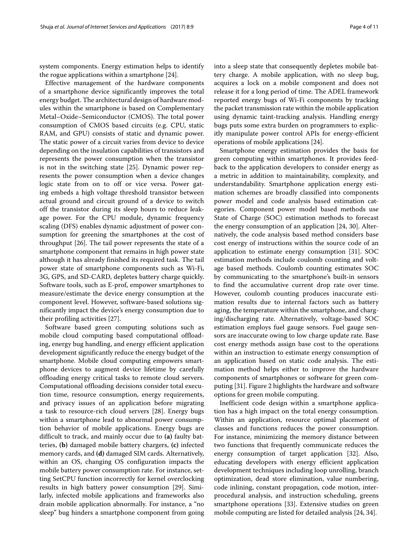system components. Energy estimation helps to identify the rogue applications within a smartphone [\[24\]](#page-9-23).

Effective management of the hardware components of a smartphone device significantly improves the total energy budget. The architectural design of hardware modules within the smartphone is based on Complementary Metal–Oxide–Semiconductor (CMOS). The total power consumption of CMOS based circuits (e.g. CPU, static RAM, and GPU) consists of static and dynamic power. The static power of a circuit varies from device to device depending on the insulation capabilities of transistors and represents the power consumption when the transistor is not in the switching state [\[25\]](#page-9-24). Dynamic power represents the power consumption when a device changes logic state from on to off or vice versa. Power gating embeds a high voltage threshold transistor between actual ground and circuit ground of a device to switch off the transistor during its sleep hours to reduce leakage power. For the CPU module, dynamic frequency scaling (DFS) enables dynamic adjustment of power consumption for greening the smartphones at the cost of throughput [\[26\]](#page-9-25). The tail power represents the state of a smartphone component that remains in high power state although it has already finished its required task. The tail power state of smartphone components such as Wi-Fi, 3G, GPS, and SD-CARD, depletes battery charge quickly. Software tools, such as E-prof, empower smartphones to measure/estimate the device energy consumption at the component level. However, software-based solutions significantly impact the device's energy consumption due to their profiling activities [\[27\]](#page-9-26).

Software based green computing solutions such as mobile cloud computing based computational offloading, energy bug handling, and energy efficient application development significantly reduce the energy budget of the smartphone. Mobile cloud computing empowers smartphone devices to augment device lifetime by carefully offloading energy critical tasks to remote cloud servers. Computational offloading decisions consider total execution time, resource consumption, energy requirements, and privacy issues of an application before migrating a task to resource-rich cloud servers [\[28\]](#page-9-27). Energy bugs within a smartphone lead to abnormal power consumption behavior of mobile applications. Energy bugs are difficult to track, and mainly occur due to **(a)** faulty batteries, **(b)** damaged mobile battery chargers, **(c)** infected memory cards, and **(d)** damaged SIM cards. Alternatively, within an OS, changing OS configuration impacts the mobile battery power consumption rate. For instance, setting SetCPU function incorrectly for kernel overclocking results in high battery power consumption [\[29\]](#page-9-28). Similarly, infected mobile applications and frameworks also drain mobile application abnormally. For instance, a "no sleep" bug hinders a smartphone component from going into a sleep state that consequently depletes mobile battery charge. A mobile application, with no sleep bug, acquires a lock on a mobile component and does not release it for a long period of time. The ADEL framework reported energy bugs of Wi-Fi components by tracking the packet transmission rate within the mobile application using dynamic taint-tracking analysis. Handling energy bugs puts some extra burden on programmers to explicitly manipulate power control APIs for energy-efficient operations of mobile applications [\[24\]](#page-9-23).

Smartphone energy estimation provides the basis for green computing within smartphones. It provides feedback to the application developers to consider energy as a metric in addition to maintainability, complexity, and understandability. Smartphone application energy estimation schemes are broadly classified into components power model and code analysis based estimation categories. Component power model based methods use State of Charge (SOC) estimation methods to forecast the energy consumption of an application [\[24,](#page-9-23) [30\]](#page-9-29). Alternatively, the code analysis based method considers base cost energy of instructions within the source code of an application to estimate energy consumption [\[31\]](#page-9-30). SOC estimation methods include coulomb counting and voltage based methods. Coulomb counting estimates SOC by communicating to the smartphone's built-in sensors to find the accumulative current drop rate over time. However, coulomb counting produces inaccurate estimation results due to internal factors such as battery aging, the temperature within the smartphone, and charging/discharging rate. Alternatively, voltage-based SOC estimation employs fuel gauge sensors. Fuel gauge sensors are inaccurate owing to low charge update rate. Base cost energy methods assign base cost to the operations within an instruction to estimate energy consumption of an application based on static code analysis. The estimation method helps either to improve the hardware components of smartphones or software for green computing [\[31\]](#page-9-30). Figure [2](#page-4-1) highlights the hardware and software options for green mobile computing.

Inefficient code design within a smartphone application has a high impact on the total energy consumption. Within an application, resource optimal placement of classes and functions reduces the power consumption. For instance, minimizing the memory distance between two functions that frequently communicate reduces the energy consumption of target application [\[32\]](#page-9-31). Also, educating developers with energy efficient application development techniques including loop unrolling, branch optimization, dead store elimination, value numbering, code inlining, constant propagation, code motion, interprocedural analysis, and instruction scheduling, greens smartphone operations [\[33\]](#page-9-32). Extensive studies on green mobile computing are listed for detailed analysis [\[24,](#page-9-23) [34\]](#page-9-33).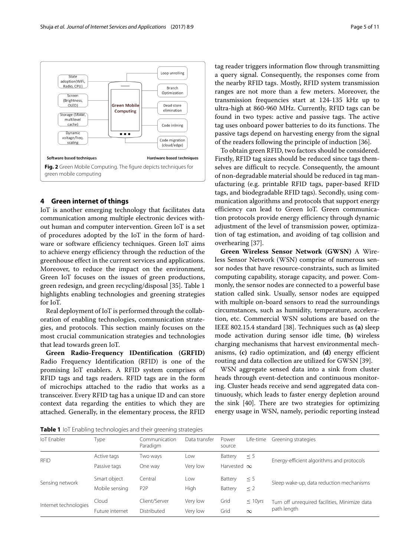

# <span id="page-4-1"></span><span id="page-4-0"></span>**4 Green internet of things**

IoT is another emerging technology that facilitates data communication among multiple electronic devices without human and computer intervention. Green IoT is a set of procedures adopted by the IoT in the form of hardware or software efficiency techniques. Green IoT aims to achieve energy efficiency through the reduction of the greenhouse effect in the current services and applications. Moreover, to reduce the impact on the environment, Green IoT focuses on the issues of green productions, green redesign, and green recycling/disposal [\[35\]](#page-9-34). Table [1](#page-4-2) highlights enabling technologies and greening strategies for IoT.

Real deployment of IoT is performed through the collaboration of enabling technologies, communication strategies, and protocols. This section mainly focuses on the most crucial communication strategies and technologies that lead towards green IoT.

**Green Radio-Frequency IDentification (GRFID)** Radio Frequency Identification (RFID) is one of the promising IoT enablers. A RFID system comprises of RFID tags and tags readers. RFID tags are in the form of microchips attached to the radio that works as a transceiver. Every RFID tag has a unique ID and can store context data regarding the entities to which they are attached. Generally, in the elementary process, the RFID

tag reader triggers information flow through transmitting a query signal. Consequently, the responses come from the nearby RFID tags. Mostly, RFID system transmission ranges are not more than a few meters. Moreover, the transmission frequencies start at 124-135 kHz up to ultra-high at 860-960 MHz. Currently, RFID tags can be found in two types: active and passive tags. The active tag uses onboard power batteries to do its functions. The passive tags depend on harvesting energy from the signal of the readers following the principle of induction [\[36\]](#page-10-0).

To obtain green RFID, two factors should be considered. Firstly, RFID tag sizes should be reduced since tags themselves are difficult to recycle. Consequently, the amount of non-degradable material should be reduced in tag manufacturing (e.g. printable RFID tags, paper-based RFID tags, and biodegradable RFID tags). Secondly, using communication algorithms and protocols that support energy efficiency can lead to Green IoT. Green communication protocols provide energy efficiency through dynamic adjustment of the level of transmission power, optimization of tag estimation, and avoiding of tag collision and overhearing [\[37\]](#page-10-1).

**Green Wireless Sensor Network (GWSN)** A Wireless Sensor Network (WSN) comprise of numerous sensor nodes that have resource-constraints, such as limited computing capability, storage capacity, and power. Commonly, the sensor nodes are connected to a powerful base station called sink. Usually, sensor nodes are equipped with multiple on-board sensors to read the surroundings circumstances, such as humidity, temperature, acceleration, etc. Commercial WSN solutions are based on the IEEE 802.15.4 standard [\[38\]](#page-10-2). Techniques such as **(a)** sleep mode activation during sensor idle time, **(b)** wireless charging mechanisms that harvest environmental mechanisms, **(c)** radio optimization, and **(d)** energy efficient routing and data collection are utilized for GWSN [\[39\]](#page-10-3).

WSN aggregate sensed data into a sink from cluster heads through event-detection and continuous monitoring. Cluster heads receive and send aggregated data continuously, which leads to faster energy depletion around the sink [\[40\]](#page-10-4). There are two strategies for optimizing energy usage in WSN, namely, periodic reporting instead

**Table 1** IoT Enabling technologies and their greening strategies

<span id="page-4-2"></span>

| <b>IoT</b> Enabler    | Type            | Communication<br>Paradigm | Data transfer | Power<br>source    | Life-time     | Greening strategies                                          |
|-----------------------|-----------------|---------------------------|---------------|--------------------|---------------|--------------------------------------------------------------|
| <b>RFID</b>           | Active tags     | Two ways                  | Low           | Battery            | $\leq$ 5      | Energy-efficient algorithms and protocols                    |
|                       | Passive tags    | One way                   | Very low      | Harvested $\infty$ |               |                                                              |
| Sensing network       | Smart object    | Central                   | Low           | Battery            | $\leq$ 5      | Sleep wake-up, data reduction mechanisms                     |
|                       | Mobile sensing  | P <sub>2</sub> P          | High          | Battery            | $\leq$ 2      |                                                              |
| Internet technologies | Cloud           | Client/Server             | Very low      | Grid               | $\leq 10$ yrs | Turn off unrequired facilities, Minimize data<br>path length |
|                       | Future internet | Distributed               | Very low      | Grid               | $\infty$      |                                                              |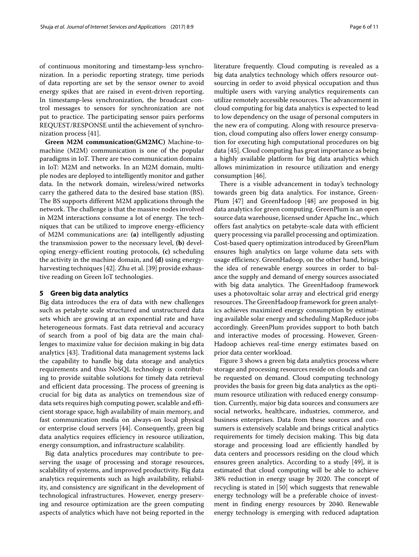of continuous monitoring and timestamp-less synchronization. In a periodic reporting strategy, time periods of data reporting are set by the sensor owner to avoid energy spikes that are raised in event-driven reporting. In timestamp-less synchronization, the broadcast control messages to sensors for synchronization are not put to practice. The participating sensor pairs performs REQUEST/RESPONSE until the achievement of synchronization process [\[41\]](#page-10-5).

**Green M2M communication(GM2MC)** Machine-tomachine (M2M) communication is one of the popular paradigms in IoT. There are two communication domains in IoT: M2M and networks. In an M2M domain, multiple nodes are deployed to intelligently monitor and gather data. In the network domain, wireless/wired networks carry the gathered data to the desired base station (BS). The BS supports different M2M applications through the network. The challenge is that the massive nodes involved in M2M interactions consume a lot of energy. The techniques that can be utilized to improve energy-efficiency of M2M communications are: **(a)** intelligently adjusting the transmission power to the necessary level, **(b)** developing energy-efficient routing protocols, **(c)** scheduling the activity in the machine domain, and **(d)** using energyharvesting techniques [\[42\]](#page-10-6). Zhu et al. [\[39\]](#page-10-3) provide exhaustive reading on Green IoT technologies.

#### <span id="page-5-0"></span>**5 Green big data analytics**

Big data introduces the era of data with new challenges such as petabyte scale structured and unstructured data sets which are growing at an exponential rate and have heterogeneous formats. Fast data retrieval and accuracy of search from a pool of big data are the main challenges to maximize value for decision making in big data analytics [\[43\]](#page-10-7). Traditional data management systems lack the capability to handle big data storage and analytics requirements and thus NoSQL technology is contributing to provide suitable solutions for timely data retrieval and efficient data processing. The process of greening is crucial for big data as analytics on tremendous size of data sets requires high computing power, scalable and efficient storage space, high availability of main memory, and fast communication media on always-on local physical or enterprise cloud servers [\[44\]](#page-10-8). Consequently, green big data analytics requires efficiency in resource utilization, energy consumption, and infrastructure scalability.

Big data analytics procedures may contribute to preserving the usage of processing and storage resources, scalability of systems, and improved productivity. Big data analytics requirements such as high availability, reliability, and consistency are significant in the development of technological infrastructures. However, energy preserving and resource optimization are the green computing aspects of analytics which have not being reported in the

literature frequently. Cloud computing is revealed as a big data analytics technology which offers resource outsourcing in order to avoid physical occupation and thus multiple users with varying analytics requirements can utilize remotely accessible resources. The advancement in cloud computing for big data analytics is expected to lead to low dependency on the usage of personal computers in the new era of computing. Along with resource preservation, cloud computing also offers lower energy consumption for executing high computational procedures on big data [\[45\]](#page-10-9). Cloud computing has great importance as being a highly available platform for big data analytics which allows minimization in resource utilization and energy consumption [\[46\]](#page-10-10).

There is a visible advancement in today's technology towards green big data analytics. For instance, Green-Plum [\[47\]](#page-10-11) and GreenHadoop [\[48\]](#page-10-12) are proposed in big data analytics for green computing. GreenPlum is an open source data warehouse, licensed under Apache Inc., which offers fast analytics on petabyte-scale data with efficient query processing via parallel processing and optimization. Cost-based query optimization introduced by GreenPlum ensures high analytics on large volume data sets with usage efficiency. GreenHadoop, on the other hand, brings the idea of renewable energy sources in order to balance the supply and demand of energy sources associated with big data analytics. The GreenHadoop framework uses a photovoltaic solar array and electrical grid energy resources. The GreenHadoop framework for green analytics achieves maximized energy consumption by estimating available solar energy and scheduling MapReduce jobs accordingly. GreenPlum provides support to both batch and interactive modes of processing. However, Green-Hadoop achieves real-time energy estimates based on prior data center workload.

Figure [3](#page-6-1) shows a green big data analytics process where storage and processing resources reside on clouds and can be requested on demand. Cloud computing technology provides the basis for green big data analytics as the optimum resource utilization with reduced energy consumption. Currently, major big data sources and consumers are social networks, healthcare, industries, commerce, and business enterprises. Data from these sources and consumers is extensively scalable and brings critical analytics requirements for timely decision making. This big data storage and processing load are efficiently handled by data centers and processors residing on the cloud which ensures green analytics. According to a study [\[49\]](#page-10-13), it is estimated that cloud computing will be able to achieve 38% reduction in energy usage by 2020. The concept of recycling is stated in [\[50\]](#page-10-14) which suggests that renewable energy technology will be a preferable choice of investment in finding energy resources by 2040. Renewable energy technology is emerging with reduced adaptation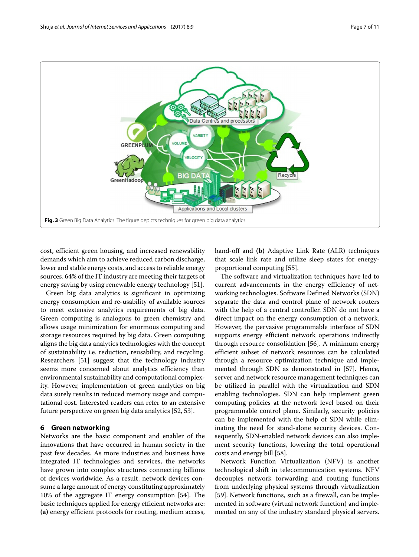

<span id="page-6-1"></span>cost, efficient green housing, and increased renewability demands which aim to achieve reduced carbon discharge, lower and stable energy costs, and access to reliable energy sources. 64% of the IT industry are meeting their targets of energy saving by using renewable energy technology [\[51\]](#page-10-15).

Green big data analytics is significant in optimizing energy consumption and re-usability of available sources to meet extensive analytics requirements of big data. Green computing is analogous to green chemistry and allows usage minimization for enormous computing and storage resources required by big data. Green computing aligns the big data analytics technologies with the concept of sustainability i.e. reduction, reusability, and recycling. Researchers [\[51\]](#page-10-15) suggest that the technology industry seems more concerned about analytics efficiency than environmental sustainability and computational complexity. However, implementation of green analytics on big data surely results in reduced memory usage and computational cost. Interested readers can refer to an extensive future perspective on green big data analytics [\[52,](#page-10-16) [53\]](#page-10-17).

# <span id="page-6-0"></span>**6 Green networking**

Networks are the basic component and enabler of the innovations that have occurred in human society in the past few decades. As more industries and business have integrated IT technologies and services, the networks have grown into complex structures connecting billions of devices worldwide. As a result, network devices consume a large amount of energy constituting approximately 10% of the aggregate IT energy consumption [\[54\]](#page-10-18). The basic techniques applied for energy efficient networks are: **(a)** energy efficient protocols for routing, medium access,

hand-off and **(b)** Adaptive Link Rate (ALR) techniques that scale link rate and utilize sleep states for energyproportional computing [\[55\]](#page-10-19).

The software and virtualization techniques have led to current advancements in the energy efficiency of networking technologies. Software Defined Networks (SDN) separate the data and control plane of network routers with the help of a central controller. SDN do not have a direct impact on the energy consumption of a network. However, the pervasive programmable interface of SDN supports energy efficient network operations indirectly through resource consolidation [\[56\]](#page-10-20). A minimum energy efficient subset of network resources can be calculated through a resource optimization technique and implemented through SDN as demonstrated in [\[57\]](#page-10-21). Hence, server and network resource management techniques can be utilized in parallel with the virtualization and SDN enabling technologies. SDN can help implement green computing policies at the network level based on their programmable control plane. Similarly, security policies can be implemented with the help of SDN while eliminating the need for stand-alone security devices. Consequently, SDN-enabled network devices can also implement security functions, lowering the total operational costs and energy bill [\[58\]](#page-10-22).

Network Function Virtualization (NFV) is another technological shift in telecommunication systems. NFV decouples network forwarding and routing functions from underlying physical systems through virtualization [\[59\]](#page-10-23). Network functions, such as a firewall, can be implemented in software (virtual network function) and implemented on any of the industry standard physical servers.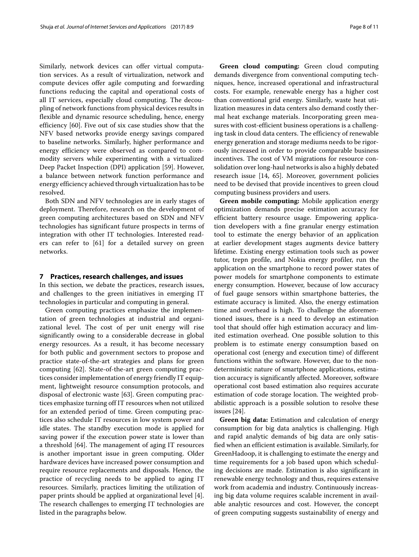Similarly, network devices can offer virtual computation services. As a result of virtualization, network and compute devices offer agile computing and forwarding functions reducing the capital and operational costs of all IT services, especially cloud computing. The decoupling of network functions from physical devices results in flexible and dynamic resource scheduling, hence, energy efficiency [\[60\]](#page-10-24). Five out of six case studies show that the NFV based networks provide energy savings compared to baseline networks. Similarly, higher performance and energy efficiency were observed as compared to commodity servers while experimenting with a virtualized Deep Packet Inspection (DPI) application [\[59\]](#page-10-23). However, a balance between network function performance and energy efficiency achieved through virtualization has to be resolved.

Both SDN and NFV technologies are in early stages of deployment. Therefore, research on the development of green computing architectures based on SDN and NFV technologies has significant future prospects in terms of integration with other IT technologies. Interested readers can refer to [\[61\]](#page-10-25) for a detailed survey on green networks.

# <span id="page-7-0"></span>**7 Practices, research challenges, and issues**

In this section, we debate the practices, research issues, and challenges to the green initiatives in emerging IT technologies in particular and computing in general.

Green computing practices emphasize the implementation of green technologies at industrial and organizational level. The cost of per unit energy will rise significantly owing to a considerable decrease in global energy resources. As a result, it has become necessary for both public and government sectors to propose and practice state-of-the-art strategies and plans for green computing [\[62\]](#page-10-26). State-of-the-art green computing practices consider implementation of energy friendly IT equipment, lightweight resource consumption protocols, and disposal of electronic waste [\[63\]](#page-10-27). Green computing practices emphasize turning off IT resources when not utilized for an extended period of time. Green computing practices also schedule IT resources in low system power and idle states. The standby execution mode is applied for saving power if the execution power state is lower than a threshold [\[64\]](#page-10-28). The management of aging IT resources is another important issue in green computing. Older hardware devices have increased power consumption and require resource replacements and disposals. Hence, the practice of recycling needs to be applied to aging IT resources. Similarly, practices limiting the utilization of paper prints should be applied at organizational level [\[4\]](#page-9-3). The research challenges to emerging IT technologies are listed in the paragraphs below.

**Green cloud computing:** Green cloud computing demands divergence from conventional computing techniques, hence, increased operational and infrastructural costs. For example, renewable energy has a higher cost than conventional grid energy. Similarly, waste heat utilization measures in data centers also demand costly thermal heat exchange materials. Incorporating green measures with cost-efficient business operations is a challenging task in cloud data centers. The efficiency of renewable energy generation and storage mediums needs to be rigorously increased in order to provide comparable business incentives. The cost of VM migrations for resource consolidation over long-haul networks is also a highly debated research issue [\[14,](#page-9-13) [65\]](#page-10-29). Moreover, government policies need to be devised that provide incentives to green cloud

computing business providers and users.

**Green mobile computing:** Mobile application energy optimization demands precise estimation accuracy for efficient battery resource usage. Empowering application developers with a fine granular energy estimation tool to estimate the energy behavior of an application at earlier development stages augments device battery lifetime. Existing energy estimation tools such as power tutor, trepn profile, and Nokia energy profiler, run the application on the smartphone to record power states of power models for smartphone components to estimate energy consumption. However, because of low accuracy of fuel gauge sensors within smartphone batteries, the estimate accuracy is limited. Also, the energy estimation time and overhead is high. To challenge the aforementioned issues, there is a need to develop an estimation tool that should offer high estimation accuracy and limited estimation overhead. One possible solution to this problem is to estimate energy consumption based on operational cost (energy and execution time) of different functions within the software. However, due to the nondeterministic nature of smartphone applications, estimation accuracy is significantly affected. Moreover, software operational cost based estimation also requires accurate estimation of code storage location. The weighted probabilistic approach is a possible solution to resolve these issues [\[24\]](#page-9-23).

**Green big data:** Estimation and calculation of energy consumption for big data analytics is challenging. High and rapid analytic demands of big data are only satisfied when an efficient estimation is available. Similarly, for GreenHadoop, it is challenging to estimate the energy and time requirements for a job based upon which scheduling decisions are made. Estimation is also significant in renewable energy technology and thus, requires extensive work from academia and industry. Continuously increasing big data volume requires scalable increment in available analytic resources and cost. However, the concept of green computing suggests sustainability of energy and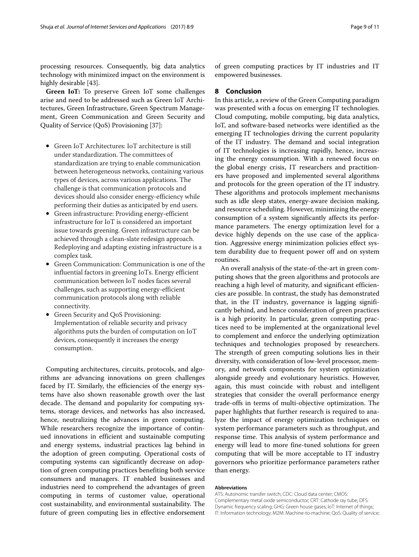processing resources. Consequently, big data analytics technology with minimized impact on the environment is highly desirable [\[43\]](#page-10-7).

**Green IoT:** To preserve Green IoT some challenges arise and need to be addressed such as Green IoT Architectures, Green Infrastructure, Green Spectrum Management, Green Communication and Green Security and Quality of Service (QoS) Provisioning [\[37\]](#page-10-1):

- Green IoT Architectures: IoT architecture is still under standardization. The committees of standardization are trying to enable communication between heterogeneous networks, containing various types of devices, across various applications. The challenge is that communication protocols and devices should also consider energy-efficiency while performing their duties as anticipated by end users.
- Green infrastructure: Providing energy-efficient infrastructure for IoT is considered an important issue towards greening. Green infrastructure can be achieved through a clean-slate redesign approach. Redeploying and adapting existing infrastructure is a complex task.
- Green Communication: Communication is one of the influential factors in greening IoTs. Energy efficient communication between IoT nodes faces several challenges, such as supporting energy-efficient communication protocols along with reliable connectivity.
- Green Security and QoS Provisioning: Implementation of reliable security and privacy algorithms puts the burden of computation on IoT devices, consequently it increases the energy consumption.

Computing architectures, circuits, protocols, and algorithms are advancing innovations on green challenges faced by IT. Similarly, the efficiencies of the energy systems have also shown reasonable growth over the last decade. The demand and popularity for computing systems, storage devices, and networks has also increased, hence, neutralizing the advances in green computing. While researchers recognize the importance of continued innovations in efficient and sustainable computing and energy systems, industrial practices lag behind in the adoption of green computing. Operational costs of computing systems can significantly decrease on adoption of green computing practices benefiting both service consumers and managers. IT enabled businesses and industries need to comprehend the advantages of green computing in terms of customer value, operational cost sustainability, and environmental sustainability. The future of green computing lies in effective endorsement of green computing practices by IT industries and IT empowered businesses.

# <span id="page-8-0"></span>**8 Conclusion**

In this article, a review of the Green Computing paradigm was presented with a focus on emerging IT technologies. Cloud computing, mobile computing, big data analytics, IoT, and software-based networks were identified as the emerging IT technologies driving the current popularity of the IT industry. The demand and social integration of IT technologies is increasing rapidly, hence, increasing the energy consumption. With a renewed focus on the global energy crisis, IT researchers and practitioners have proposed and implemented several algorithms and protocols for the green operation of the IT industry. These algorithms and protocols implement mechanisms such as idle sleep states, energy-aware decision making, and resource scheduling. However, minimizing the energy consumption of a system significantly affects its performance parameters. The energy optimization level for a device highly depends on the use case of the application. Aggressive energy minimization policies effect system durability due to frequent power off and on system routines.

An overall analysis of the state-of-the-art in green computing shows that the green algorithms and protocols are reaching a high level of maturity, and significant efficiencies are possible. In contrast, the study has demonstrated that, in the IT industry, governance is lagging significantly behind, and hence consideration of green practices is a high priority. In particular, green computing practices need to be implemented at the organizational level to complement and enforce the underlying optimization techniques and technologies proposed by researchers. The strength of green computing solutions lies in their diversity, with consideration of low-level processor, memory, and network components for system optimization alongside greedy and evolutionary heuristics. However, again, this must coincide with robust and intelligent strategies that consider the overall performance energy trade-offs in terms of multi-objective optimization. The paper highlights that further research is required to analyze the impact of energy optimization techniques on system performance parameters such as throughput, and response time. This analysis of system performance and energy will lead to more fine-tuned solutions for green computing that will be more acceptable to IT industry governors who prioritize performance parameters rather than energy.

### **Abbreviations**

ATS: Autonomic transfer switch; CDC: Cloud data center; CMOS: Complementary metal oxide semiconductor; CRT: Cathode ray tube; DFS: Dynamic frequency scaling; GHG: Green house gases; IoT: Internet of things; IT: Information technology; M2M: Machine-to-machine; QoS: Quality of service;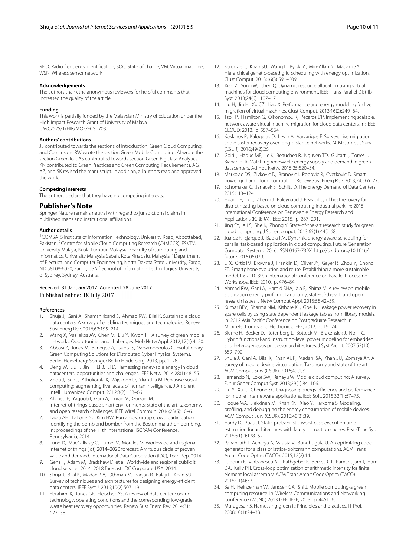RFID: Radio frequency identification; SOC: State of charge; VM: Virtual machine; WSN: Wireless sensor network

#### **Acknowledgements**

The authors thank the anonymous reviewers for helpful comments that increased the quality of the article.

#### **Funding**

This work is partially funded by the Malaysian Ministry of Education under the High Impact Research Grant of University of Malaya UM.C/625/1/HIR/MOE/FCSIT/03.

### **Authors' contributions**

JS contributed towards the sections of Introduction, Green Cloud Computing, and Conclusion. RW wrote the section Green Mobile Computing. AI wrote the section Green IoT. AS contributed towards section Green Big Data Analytics. KN contributed to Green Practices and Green Computing Requirements. AG, AZ, and SK revised the manuscript. In addition, all authors read and approved the work.

#### **Competing interests**

The authors declare that they have no competing interests.

#### **Publisher's Note**

Springer Nature remains neutral with regard to jurisdictional claims in published maps and institutional affiliations.

# **Author details**

<sup>1</sup> COMSATS Institute of Information Technology, University Road, Abbottabad, Pakistan. <sup>2</sup> Centre for Mobile Cloud Computing Research (C4MCCR), FSKTM, University Malaya, Kuala Lumpur, Malaysia. 3Faculty of Computing and Informatics, University Malaysia Sabah, Kota Kinabalu, Malaysia. 4Department of Electrical and Computer Engineering, North Dakota State University, Fargo, ND 58108-6050, Fargo, USA. <sup>5</sup> School of Information Technologies, University of Sydney, Sydney, Australia.

# Received: 31 January 2017 Accepted: 28 June 2017 Published online: 18 July 2017

#### **References**

- <span id="page-9-0"></span>1. Shuja J, Gani A, Shamshirband S, Ahmad RW, Bilal K. Sustainable cloud data centers: A survey of enabling techniques and technologies. Renew Sust Energ Rev. 2016;62:195–214.
- <span id="page-9-1"></span>2. Wang X, Vasilakos AV, Chen M, Liu Y, Kwon TT. A survey of green mobile networks: Opportunities and challenges. Mob Netw Appl. 2012;17(1):4–20.
- <span id="page-9-2"></span>3. Abbasi Z, Jonas M, Banerjee A, Gupta S, Varsamopoulos G. Evolutionary Green Computing Solutions for Distributed Cyber Physical Systems. Berlin, Heidelberg: Springer Berlin Heidelberg; 2013, pp. 1–28.
- <span id="page-9-3"></span>4. Deng W, Liu F, Jin H, Li B, Li D. Harnessing renewable energy in cloud datacenters: opportunities and challenges. IEEE Netw. 2014;28(1):48–55.
- <span id="page-9-4"></span>5. Zhou J, Sun J, Athukorala K, Wijekoon D, Ylianttila M. Pervasive social computing: augmenting five facets of human intelligence. J Ambient Intell Humanized Comput. 2012;3(2):153–66.
- <span id="page-9-5"></span>6. Ahmed E, Yaqoob I, Gani A, Imran M, Guizani M. Internet-of-things-based smart environments: state of the art, taxonomy, and open research challenges. IEEE Wirel Commun. 2016;23(5):10–6.
- <span id="page-9-6"></span>7. Tapia AH, LaLone NJ, Kim HW. Run amok: group crowd participation in identifying the bomb and bomber from the Boston marathon bombing. In: proceedings of the 11th International ISCRAM Conference. Pennsylvania; 2014.
- <span id="page-9-7"></span>8. Lund D, MacGillivray C, Turner V, Morales M. Worldwide and regional internet of things (iot) 2014–2020 forecast: A virtuous circle of proven value and demand. International Data Corporation (IDC), Tech Rep. 2014.
- <span id="page-9-8"></span>9. Gens F, Adam M, Bradshaw D, et al. Worldwide and regional public it cloud services 2014–2018 forecast: IDC Corporate USA; 2014.
- <span id="page-9-9"></span>10. Shuja J, Bilal K, Madani SA, Othman M, Ranjan R, Balaji P, Khan SU. Survey of techniques and architectures for designing energy-efficient data centers. IEEE Syst J. 2016;10(2):507–19.
- <span id="page-9-10"></span>11. Ebrahimi K, Jones GF, Fleischer AS. A review of data center cooling technology, operating conditions and the corresponding low-grade waste heat recovery opportunities. Renew Sust Energ Rev. 2014;31: 622–38.
- <span id="page-9-11"></span>12. Kołodziej J, Khan SU, Wang L, Byrski A, Min-Allah N, Madani SA. Hierarchical genetic-based grid scheduling with energy optimization. Clust Comput. 2013;16(3):591–609.
- <span id="page-9-12"></span>13. Xiao Z, Song W, Chen Q. Dynamic resource allocation using virtual machines for cloud computing environment. IEEE Trans Parallel Distrib Syst. 2013;24(6):1107–17.
- <span id="page-9-13"></span>14. Liu H, Jin H, Xu CZ, Liao X. Performance and energy modeling for live migration of virtual machines. Clust Comput. 2013;16(2):249–64.
- <span id="page-9-14"></span>15. Tso FP, Hamilton G, Oikonomou K, Pezaros DP. Implementing scalable, network-aware virtual machine migration for cloud data centers. In: IEEE CLOUD; 2013. p. 557–564.
- <span id="page-9-15"></span>16. Kokkinos P, Kalogeras D, Levin A, Varvarigos E. Survey: Live migration and disaster recovery over long-distance networks. ACM Comput Surv (CSUR). 2016;49(2):26.
- <span id="page-9-16"></span>17. Goiri Í, Haque ME, Le K, Beauchea R, Nguyen TD, Guitart J, Torres J, Bianchini R. Matching renewable energy supply and demand in green datacenters. Ad Hoc Netw. 2015;25:520–34.
- <span id="page-9-17"></span>18. Markovic DS, Zivkovic D, Branovic I, Popovic R, Cvetkovic D. Smart power grid and cloud computing. Renew Sust Energ Rev. 2013;24:566–77.
- <span id="page-9-18"></span>19. Schomaker G, Janacek S, Schlitt D. The Energy Demand of Data Centers. 2015;113–124.
- <span id="page-9-19"></span>20. Huang F, Lu J, Zheng J, Baleynaud J. Feasibility of heat recovery for district heating based on cloud computing industrial park. In: 2015 International Conference on Renewable Energy Research and Applications (ICRERA). IEEE; 2015. p. 287–291.
- <span id="page-9-20"></span>21. Jing SY, Ali S, She K, Zhong Y. State-of-the-art research study for green cloud computing. J Supercomput. 2013;65(1):445–68.
- <span id="page-9-21"></span>22. Juarez F, Ejarque J, Badia RM. Dynamic energy-aware scheduling for parallel task-based application in cloud computing. Future Generation Computer Systems. 2016. ISSN 0167-739X. [http://dx.doi.org/10.1016/j.](http://dx.doi.org/10.1016/j.future.2016.06.029) [future.2016.06.029.](http://dx.doi.org/10.1016/j.future.2016.06.029)
- <span id="page-9-22"></span>23. Li X, Ortiz PJ, Browne J, Franklin D, Oliver JY, Geyer R, Zhou Y, Chong FT. Smartphone evolution and reuse: Establishing a more sustainable model. In: 2010 39th International Conference on Parallel Processing Workshops. IEEE; 2010. p. 476–84.
- <span id="page-9-23"></span>24. Ahmad RW, Gani A, Hamid SHA, Xia F, Shiraz M. A review on mobile application energy profiling: Taxonomy, state-of-the-art, and open research issues. J Netw Comput Appl. 2015;58:42–59.
- <span id="page-9-24"></span>25. Kumar BPV, Sharma NM, Kishore KL, Goel N. Leakage power recovery in spare cells by using state dependent leakage tables from library models. In: 2012 Asia Pacific Conference on Postgraduate Research in Microelectronics and Electronics. IEEE; 2012. p. 19–24.
- <span id="page-9-25"></span>26. Blume H, Becker D, Rotenberg L, Botteck M, Brakensiek J, Noll TG. Hybrid functional-and instruction-level power modeling for embedded and heterogeneous processor architectures. J Syst Archit. 2007;53(10): 689–702.
- <span id="page-9-26"></span>27. Shuja J, Gani A, Bilal K, Khan AUR, Madani SA, Khan SU, Zomaya AY. A survey of mobile device virtualization: Taxonomy and state of the art. ACM Comput Surv (CSUR). 2016;49(1):1.
- <span id="page-9-27"></span>28. Fernando N, Loke SW, Rahayu W. Mobile cloud computing: A survey. Futur Gener Comput Syst. 2013;29(1):84–106.
- <span id="page-9-28"></span>29. Liu Y, Xu C, Cheung SC. Diagnosing energy efficiency and performance for mobile internetware applications. IEEE Soft. 2015;32(1):67–75.
- <span id="page-9-29"></span>30. Hoque MA, Siekkinen M, Khan KN, Xiao Y, Tarkoma S. Modeling, profiling, and debugging the energy consumption of mobile devices. ACM Comput Surv (CSUR). 2016;48(3):39.
- <span id="page-9-30"></span>31. Hardy D, Puaut I. Static probabilistic worst case execution time estimation for architectures with faulty instruction caches. Real-Time Sys. 2015;51(2):128–52.
- <span id="page-9-31"></span>32. Pananilath I, Acharya A, Vasista V, Bondhugula U. An optimizing code generator for a class of lattice-boltzmann computations. ACM Trans Archit Code Optim (TACO). 2015;12(2):14.
- <span id="page-9-32"></span>33. Luporini F, Varbanescu AL, Rathgeber F, Bercea GT, Ramanujam J, Ham DA, Kelly PH. Cross-loop optimization of arithmetic intensity for finite element local assembly. ACM Trans Archit Code Optim (TACO). 2015;11(4):57.
- <span id="page-9-33"></span>34. Ba H, Heinzelman W, Janssen CA, Shi J. Mobile computing-a green computing resource. In: Wireless Communications and Networking Conference (WCNC) 2013 IEEE. IEEE; 2013. p. 4451–6.
- <span id="page-9-34"></span>35. Murugesan S. Harnessing green it: Principles and practices. IT Prof. 2008;10(1):24–33.